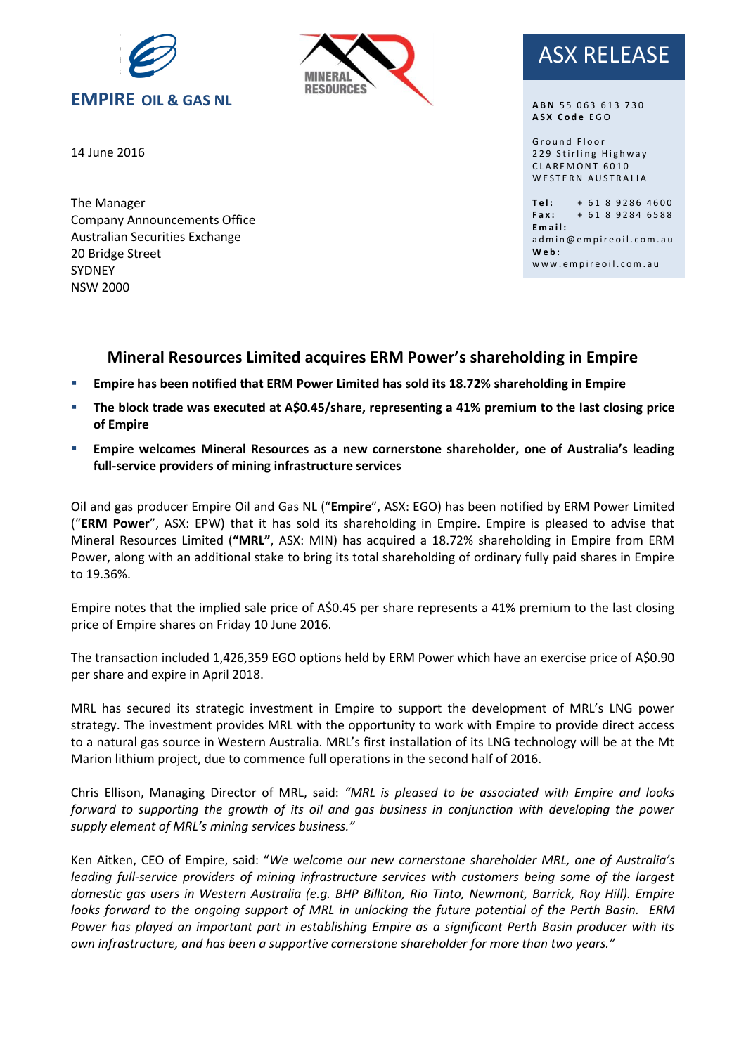



#### 14 June 2016 employees incentives like, flexible work hours and time in leu. Time in leu

The Manager Company Announcements Office Australian Securities Exchange 20 Bridge Street SYDNEY NSW 2000

# ASX RELEASE

**ABN 55 063 613 730 A S X C o d e** E G O

G r o u n d F l o o r 229 Stirling Highway CLAREMONT 6010 WESTERN AUSTRALIA

Tel: + 61 8 9286 4600  $Fax: + 61892846588$ **E m a i l :** ad m in @ e m p i r e o il . c o m . a u **W e b :** www.empireoil.com.au

## **Mineral Resources Limited acquires ERM Power's shareholding in Empire**

- **Empire has been notified that ERM Power Limited has sold its 18.72% shareholding in Empire**
- **The block trade was executed at A\$0.45/share, representing a 41% premium to the last closing price of Empire**
- **Empire welcomes Mineral Resources as a new cornerstone shareholder, one of Australia's leading full-service providers of mining infrastructure services**

Oil and gas producer Empire Oil and Gas NL ("**Empire**", ASX: EGO) has been notified by ERM Power Limited ("**ERM Power**", ASX: EPW) that it has sold its shareholding in Empire. Empire is pleased to advise that Mineral Resources Limited (**"MRL"**, ASX: MIN) has acquired a 18.72% shareholding in Empire from ERM Power, along with an additional stake to bring its total shareholding of ordinary fully paid shares in Empire to 19.36%.

Empire notes that the implied sale price of A\$0.45 per share represents a 41% premium to the last closing price of Empire shares on Friday 10 June 2016.

The transaction included 1,426,359 EGO options held by ERM Power which have an exercise price of A\$0.90 per share and expire in April 2018.

MRL has secured its strategic investment in Empire to support the development of MRL's LNG power strategy. The investment provides MRL with the opportunity to work with Empire to provide direct access to a natural gas source in Western Australia. MRL's first installation of its LNG technology will be at the Mt Marion lithium project, due to commence full operations in the second half of 2016.

Chris Ellison, Managing Director of MRL, said: *"MRL is pleased to be associated with Empire and looks forward to supporting the growth of its oil and gas business in conjunction with developing the power supply element of MRL's mining services business."*

Ken Aitken, CEO of Empire, said: "*We welcome our new cornerstone shareholder MRL, one of Australia's leading full-service providers of mining infrastructure services with customers being some of the largest domestic gas users in Western Australia (e.g. BHP Billiton, Rio Tinto, Newmont, Barrick, Roy Hill). Empire looks forward to the ongoing support of MRL in unlocking the future potential of the Perth Basin. ERM Power has played an important part in establishing Empire as a significant Perth Basin producer with its own infrastructure, and has been a supportive cornerstone shareholder for more than two years."*